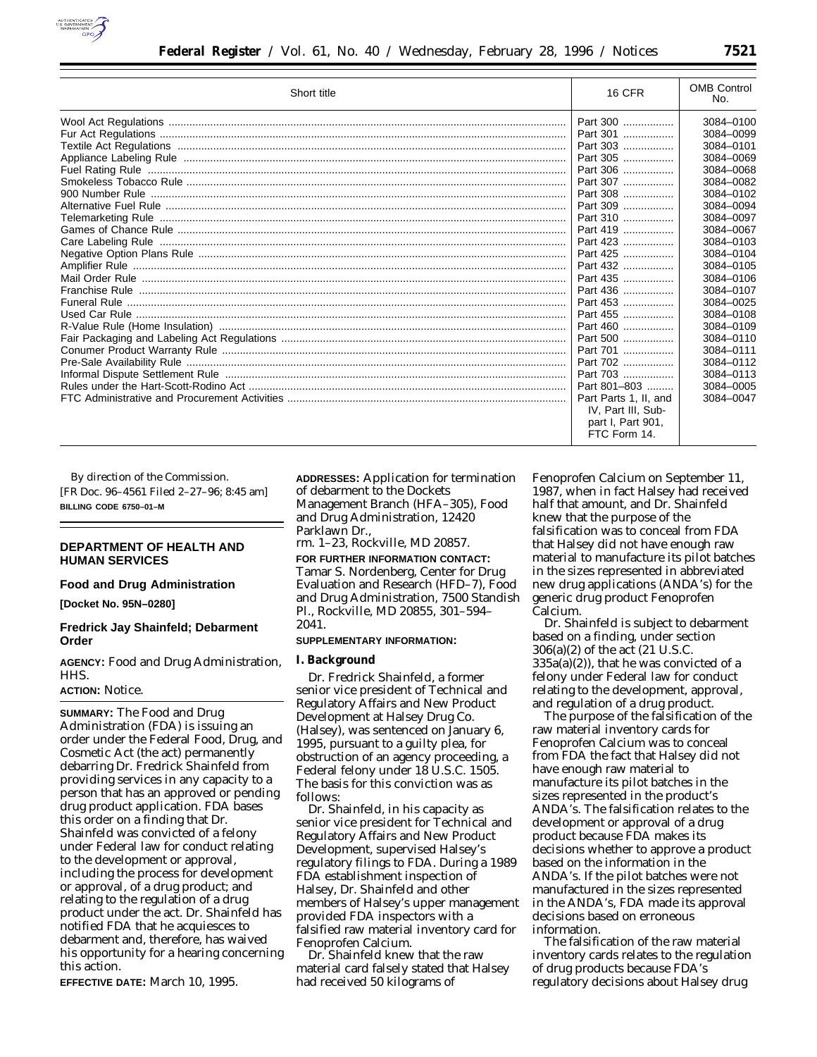

| Short title | <b>16 CFR</b>         | <b>OMB Control</b><br>No. |
|-------------|-----------------------|---------------------------|
|             | Part 300              | 3084-0100                 |
|             | Part 301              | 3084-0099                 |
|             | Part 303              | 3084-0101                 |
|             | Part 305              | 3084-0069                 |
|             | Part 306              | 3084-0068                 |
|             | Part 307              | 3084-0082                 |
|             | Part 308              | 3084-0102                 |
|             | Part 309              | 3084-0094                 |
|             | Part 310              | 3084-0097                 |
|             | Part 419              | 3084-0067                 |
|             | Part 423              | 3084-0103                 |
|             | Part 425              | 3084-0104                 |
|             | Part 432              | 3084-0105                 |
|             | Part 435              | 3084-0106                 |
|             | Part 436              | 3084-0107                 |
|             | Part 453              | 3084-0025                 |
|             | Part 455              | 3084-0108                 |
|             | Part 460              | 3084-0109                 |
|             | Part 500              | 3084-0110                 |
|             | Part 701              | 3084-0111                 |
|             | Part 702              | 3084-0112                 |
|             | Part 703              | 3084-0113                 |
|             | Part 801-803          | 3084-0005                 |
|             | Part Parts 1, II, and | 3084-0047                 |
|             | IV, Part III, Sub-    |                           |
|             | part I. Part 901.     |                           |
|             | FTC Form 14.          |                           |

By direction of the Commission. [FR Doc. 96–4561 Filed 2–27–96; 8:45 am] **BILLING CODE 6750–01–M**

# **DEPARTMENT OF HEALTH AND HUMAN SERVICES**

### **Food and Drug Administration**

**[Docket No. 95N–0280]**

# **Fredrick Jay Shainfeld; Debarment Order**

**AGENCY:** Food and Drug Administration, HHS.

### **ACTION:** Notice.

**SUMMARY:** The Food and Drug Administration (FDA) is issuing an order under the Federal Food, Drug, and Cosmetic Act (the act) permanently debarring Dr. Fredrick Shainfeld from providing services in any capacity to a person that has an approved or pending drug product application. FDA bases this order on a finding that Dr. Shainfeld was convicted of a felony under Federal law for conduct relating to the development or approval, including the process for development or approval, of a drug product; and relating to the regulation of a drug product under the act. Dr. Shainfeld has notified FDA that he acquiesces to debarment and, therefore, has waived his opportunity for a hearing concerning this action.

**EFFECTIVE DATE:** March 10, 1995.

**ADDRESSES:** Application for termination of debarment to the Dockets Management Branch (HFA–305), Food and Drug Administration, 12420 Parklawn Dr.,

rm. 1–23, Rockville, MD 20857.

**FOR FURTHER INFORMATION CONTACT:** Tamar S. Nordenberg, Center for Drug Evaluation and Research (HFD–7), Food and Drug Administration, 7500 Standish Pl., Rockville, MD 20855, 301–594– 2041.

#### **SUPPLEMENTARY INFORMATION:**

### **I. Background**

Dr. Fredrick Shainfeld, a former senior vice president of Technical and Regulatory Affairs and New Product Development at Halsey Drug Co. (Halsey), was sentenced on January 6, 1995, pursuant to a guilty plea, for obstruction of an agency proceeding, a Federal felony under 18 U.S.C. 1505. The basis for this conviction was as follows:

Dr. Shainfeld, in his capacity as senior vice president for Technical and Regulatory Affairs and New Product Development, supervised Halsey's regulatory filings to FDA. During a 1989 FDA establishment inspection of Halsey, Dr. Shainfeld and other members of Halsey's upper management provided FDA inspectors with a falsified raw material inventory card for Fenoprofen Calcium.

Dr. Shainfeld knew that the raw material card falsely stated that Halsey had received 50 kilograms of

Fenoprofen Calcium on September 11, 1987, when in fact Halsey had received half that amount, and Dr. Shainfeld knew that the purpose of the falsification was to conceal from FDA that Halsey did not have enough raw material to manufacture its pilot batches in the sizes represented in abbreviated new drug applications (ANDA's) for the generic drug product Fenoprofen Calcium.

Dr. Shainfeld is subject to debarment based on a finding, under section 306(a)(2) of the act (21 U.S.C.  $335a(a)(2)$ , that he was convicted of a felony under Federal law for conduct relating to the development, approval, and regulation of a drug product.

The purpose of the falsification of the raw material inventory cards for Fenoprofen Calcium was to conceal from FDA the fact that Halsey did not have enough raw material to manufacture its pilot batches in the sizes represented in the product's ANDA's. The falsification relates to the development or approval of a drug product because FDA makes its decisions whether to approve a product based on the information in the ANDA's. If the pilot batches were not manufactured in the sizes represented in the ANDA's, FDA made its approval decisions based on erroneous information.

The falsification of the raw material inventory cards relates to the regulation of drug products because FDA's regulatory decisions about Halsey drug